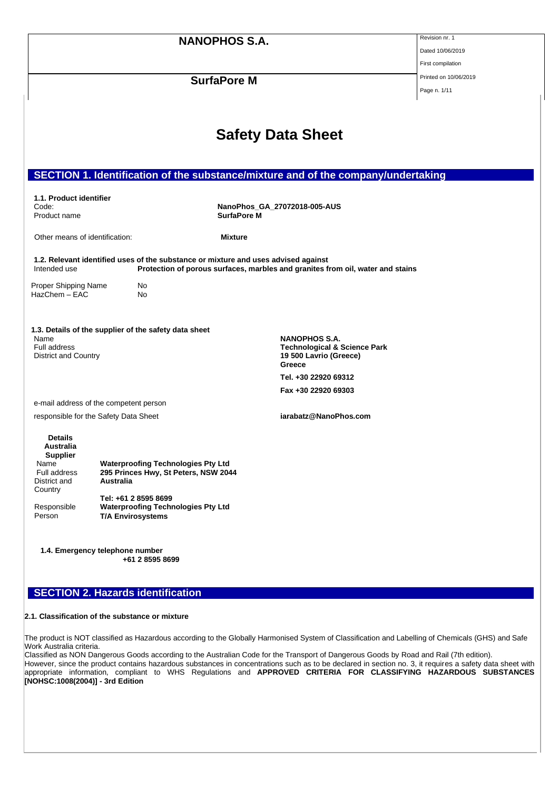|                                                   |                                                                                                | <b>NANOPHOS S.A.</b> |                                                                                                     | Revision nr. 1        |
|---------------------------------------------------|------------------------------------------------------------------------------------------------|----------------------|-----------------------------------------------------------------------------------------------------|-----------------------|
|                                                   |                                                                                                |                      |                                                                                                     | Dated 10/06/2019      |
|                                                   |                                                                                                |                      | First compilation                                                                                   |                       |
|                                                   |                                                                                                | <b>SurfaPore M</b>   |                                                                                                     | Printed on 10/06/2019 |
|                                                   |                                                                                                |                      |                                                                                                     | Page n. 1/11          |
|                                                   |                                                                                                |                      |                                                                                                     |                       |
|                                                   |                                                                                                |                      | <b>Safety Data Sheet</b>                                                                            |                       |
|                                                   |                                                                                                |                      | SECTION 1. Identification of the substance/mixture and of the company/undertaking                   |                       |
| 1.1. Product identifier                           |                                                                                                |                      |                                                                                                     |                       |
| Code:<br>Product name                             |                                                                                                | <b>SurfaPore M</b>   | NanoPhos_GA_27072018-005-AUS                                                                        |                       |
|                                                   |                                                                                                |                      |                                                                                                     |                       |
| Other means of identification:                    |                                                                                                | <b>Mixture</b>       |                                                                                                     |                       |
| Intended use                                      | 1.2. Relevant identified uses of the substance or mixture and uses advised against             |                      | Protection of porous surfaces, marbles and granites from oil, water and stains                      |                       |
| Proper Shipping Name<br>No<br>HazChem - EAC<br>No |                                                                                                |                      |                                                                                                     |                       |
| Name<br>Full address<br>District and Country      | 1.3. Details of the supplier of the safety data sheet                                          |                      | <b>NANOPHOS S.A.</b><br><b>Technological &amp; Science Park</b><br>19 500 Lavrio (Greece)<br>Greece |                       |
|                                                   |                                                                                                |                      | Tel. +30 22920 69312                                                                                |                       |
|                                                   |                                                                                                |                      | Fax +30 22920 69303                                                                                 |                       |
|                                                   | e-mail address of the competent person                                                         |                      |                                                                                                     |                       |
|                                                   | responsible for the Safety Data Sheet                                                          |                      | iarabatz@NanoPhos.com                                                                               |                       |
| <b>Details</b><br>Australia<br><b>Supplier</b>    |                                                                                                |                      |                                                                                                     |                       |
| Name<br>Full address<br>District and<br>Country   | <b>Waterproofing Technologies Pty Ltd</b><br>295 Princes Hwy, St Peters, NSW 2044<br>Australia |                      |                                                                                                     |                       |
| Responsible<br>Person                             | Tel: +61 2 8595 8699<br><b>Waterproofing Technologies Pty Ltd</b><br><b>T/A Envirosystems</b>  |                      |                                                                                                     |                       |
|                                                   | 1.4. Emergency telephone number                                                                |                      |                                                                                                     |                       |

**+61 2 8595 8699**

# **SECTION 2. Hazards identification**

#### **2.1. Classification of the substance or mixture**

The product is NOT classified as Hazardous according to the Globally Harmonised System of Classification and Labelling of Chemicals (GHS) and Safe Work Australia criteria.

Classified as NON Dangerous Goods according to the Australian Code for the Transport of Dangerous Goods by Road and Rail (7th edition). However, since the product contains hazardous substances in concentrations such as to be declared in section no. 3, it requires a safety data sheet with appropriate information, compliant to WHS Regulations and **APPROVED CRITERIA FOR CLASSIFYING HAZARDOUS SUBSTANCES [NOHSC:1008(2004)] - 3rd Edition**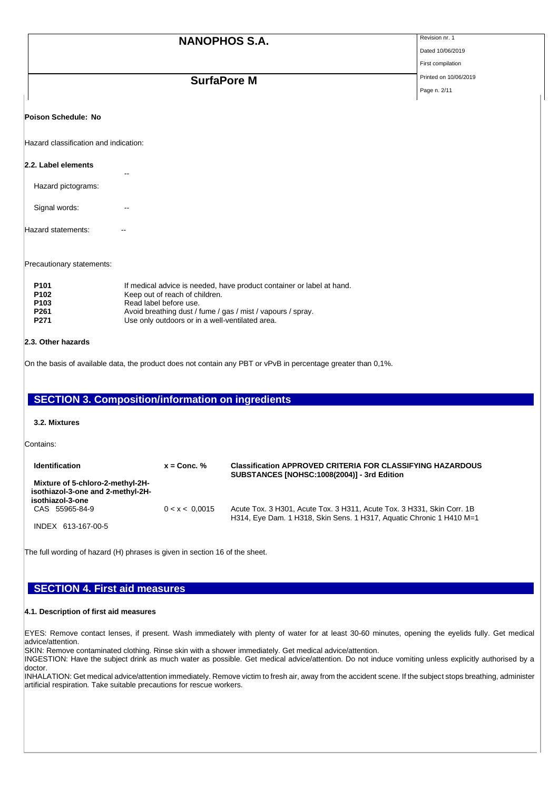|                                                  | <b>NANOPHOS S.A.</b>                                                                                                                                                                                                                                | Revision nr. 1        |
|--------------------------------------------------|-----------------------------------------------------------------------------------------------------------------------------------------------------------------------------------------------------------------------------------------------------|-----------------------|
|                                                  |                                                                                                                                                                                                                                                     | Dated 10/06/2019      |
|                                                  |                                                                                                                                                                                                                                                     | First compilation     |
|                                                  | <b>SurfaPore M</b>                                                                                                                                                                                                                                  | Printed on 10/06/2019 |
|                                                  |                                                                                                                                                                                                                                                     | Page n. 2/11          |
| Poison Schedule: No                              |                                                                                                                                                                                                                                                     |                       |
| Hazard classification and indication:            |                                                                                                                                                                                                                                                     |                       |
| 2.2. Label elements                              | --                                                                                                                                                                                                                                                  |                       |
| Hazard pictograms:                               |                                                                                                                                                                                                                                                     |                       |
| Signal words:                                    | --                                                                                                                                                                                                                                                  |                       |
| Hazard statements:                               |                                                                                                                                                                                                                                                     |                       |
| Precautionary statements:                        |                                                                                                                                                                                                                                                     |                       |
| P <sub>101</sub><br>P102<br>P103<br>P261<br>P271 | If medical advice is needed, have product container or label at hand.<br>Keep out of reach of children.<br>Read label before use.<br>Avoid breathing dust / fume / gas / mist / vapours / spray.<br>Use only outdoors or in a well-ventilated area. |                       |
| 2.3. Other hazards                               |                                                                                                                                                                                                                                                     |                       |

On the basis of available data, the product does not contain any PBT or vPvB in percentage greater than 0,1%.

| <b>SECTION 3. Composition/information on ingredients</b>                                  |                |                                                                                                                                                |
|-------------------------------------------------------------------------------------------|----------------|------------------------------------------------------------------------------------------------------------------------------------------------|
| 3.2. Mixtures                                                                             |                |                                                                                                                                                |
| Contains:                                                                                 |                |                                                                                                                                                |
| <b>Identification</b>                                                                     | $x =$ Conc. %  | <b>Classification APPROVED CRITERIA FOR CLASSIFYING HAZARDOUS</b><br>SUBSTANCES [NOHSC:1008(2004)] - 3rd Edition                               |
| Mixture of 5-chloro-2-methyl-2H-<br>isothiazol-3-one and 2-methyl-2H-<br>isothiazol-3-one |                |                                                                                                                                                |
| CAS 55965-84-9                                                                            | 0 < x < 0.0015 | Acute Tox. 3 H301, Acute Tox. 3 H311, Acute Tox. 3 H331, Skin Corr. 1B<br>H314, Eye Dam. 1 H318, Skin Sens. 1 H317, Aquatic Chronic 1 H410 M=1 |
| INDEX 613-167-00-5                                                                        |                |                                                                                                                                                |

The full wording of hazard (H) phrases is given in section 16 of the sheet.

## **SECTION 4. First aid measures**

### **4.1. Description of first aid measures**

EYES: Remove contact lenses, if present. Wash immediately with plenty of water for at least 30-60 minutes, opening the eyelids fully. Get medical advice/attention.

SKIN: Remove contaminated clothing. Rinse skin with a shower immediately. Get medical advice/attention.

INGESTION: Have the subject drink as much water as possible. Get medical advice/attention. Do not induce vomiting unless explicitly authorised by a doctor.

INHALATION: Get medical advice/attention immediately. Remove victim to fresh air, away from the accident scene. If the subject stops breathing, administer artificial respiration. Take suitable precautions for rescue workers.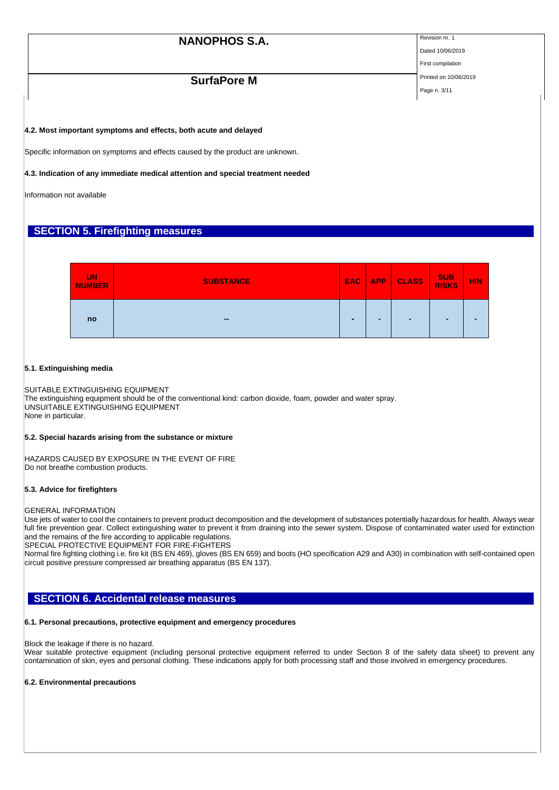Page n. 3/11

Dated 10/06/2019 First compilation

## **SurfaPore M** Printed on 10/06/2019

#### **4.2. Most important symptoms and effects, both acute and delayed**

Specific information on symptoms and effects caused by the product are unknown.

#### **4.3. Indication of any immediate medical attention and special treatment needed**

Information not available

## **SECTION 5. Firefighting measures**



#### **5.1. Extinguishing media**

SUITABLE EXTINGUISHING EQUIPMENT

The extinguishing equipment should be of the conventional kind: carbon dioxide, foam, powder and water spray. UNSUITABLE EXTINGUISHING EQUIPMENT None in particular.

#### **5.2. Special hazards arising from the substance or mixture**

HAZARDS CAUSED BY EXPOSURE IN THE EVENT OF FIRE Do not breathe combustion products.

#### **5.3. Advice for firefighters**

#### GENERAL INFORMATION

Use jets of water to cool the containers to prevent product decomposition and the development of substances potentially hazardous for health. Always wear full fire prevention gear. Collect extinguishing water to prevent it from draining into the sewer system. Dispose of contaminated water used for extinction and the remains of the fire according to applicable regulations.

SPECIAL PROTECTIVE EQUIPMENT FOR FIRE-FIGHTERS

Normal fire fighting clothing i.e. fire kit (BS EN 469), gloves (BS EN 659) and boots (HO specification A29 and A30) in combination with self-contained open circuit positive pressure compressed air breathing apparatus (BS EN 137).

### **SECTION 6. Accidental release measures**

#### **6.1. Personal precautions, protective equipment and emergency procedures**

Block the leakage if there is no hazard.

Wear suitable protective equipment (including personal protective equipment referred to under Section 8 of the safety data sheet) to prevent any contamination of skin, eyes and personal clothing. These indications apply for both processing staff and those involved in emergency procedures.

#### **6.2. Environmental precautions**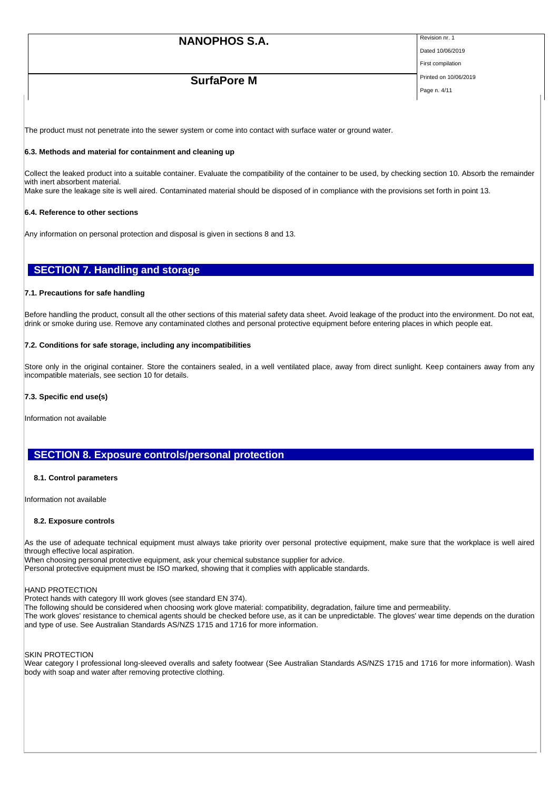Dated 10/06/2019

## **SurfaPore M** Printed on 10/06/2019

First compilation Page n. 4/11

The product must not penetrate into the sewer system or come into contact with surface water or ground water.

#### **6.3. Methods and material for containment and cleaning up**

Collect the leaked product into a suitable container. Evaluate the compatibility of the container to be used, by checking section 10. Absorb the remainder with inert absorbent material.

Make sure the leakage site is well aired. Contaminated material should be disposed of in compliance with the provisions set forth in point 13.

#### **6.4. Reference to other sections**

Any information on personal protection and disposal is given in sections 8 and 13.

### **SECTION 7. Handling and storage**

#### **7.1. Precautions for safe handling**

Before handling the product, consult all the other sections of this material safety data sheet. Avoid leakage of the product into the environment. Do not eat, drink or smoke during use. Remove any contaminated clothes and personal protective equipment before entering places in which people eat.

#### **7.2. Conditions for safe storage, including any incompatibilities**

Store only in the original container. Store the containers sealed, in a well ventilated place, away from direct sunlight. Keep containers away from any incompatible materials, see section 10 for details.

#### **7.3. Specific end use(s)**

Information not available

## **SECTION 8. Exposure controls/personal protection**

#### **8.1. Control parameters**

Information not available

#### **8.2. Exposure controls**

As the use of adequate technical equipment must always take priority over personal protective equipment, make sure that the workplace is well aired through effective local aspiration.

When choosing personal protective equipment, ask your chemical substance supplier for advice. Personal protective equipment must be ISO marked, showing that it complies with applicable standards.

HAND PROTECTION

Protect hands with category III work gloves (see standard EN 374).

The following should be considered when choosing work glove material: compatibility, degradation, failure time and permeability.

The work gloves' resistance to chemical agents should be checked before use, as it can be unpredictable. The gloves' wear time depends on the duration and type of use. See Australian Standards AS/NZS 1715 and 1716 for more information.

#### SKIN PROTECTION

Wear category I professional long-sleeved overalls and safety footwear (See Australian Standards AS/NZS 1715 and 1716 for more information). Wash body with soap and water after removing protective clothing.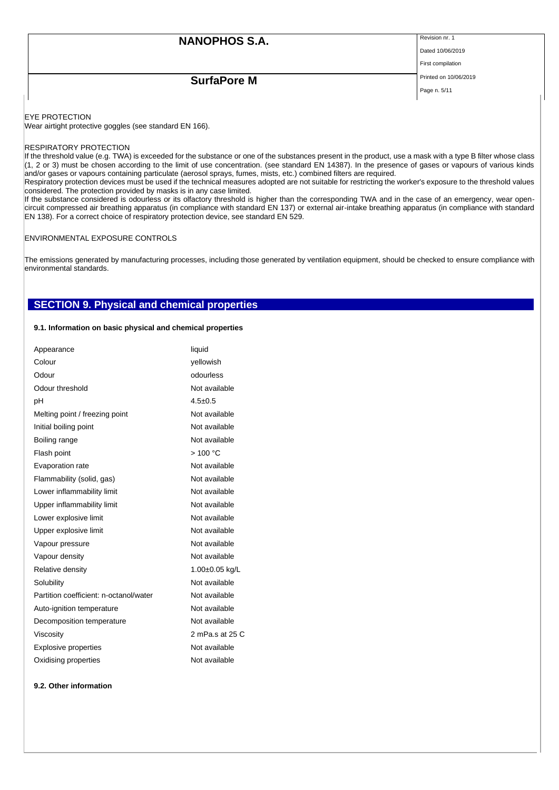Dated 10/06/2019

# **SurfaPore M** Printed on 10/06/2019

First compilation

Page n. 5/11

EYE PROTECTION

Wear airtight protective goggles (see standard EN 166).

#### RESPIRATORY PROTECTION

If the threshold value (e.g. TWA) is exceeded for the substance or one of the substances present in the product, use a mask with a type B filter whose class (1, 2 or 3) must be chosen according to the limit of use concentration. (see standard EN 14387). In the presence of gases or vapours of various kinds and/or gases or vapours containing particulate (aerosol sprays, fumes, mists, etc.) combined filters are required.

Respiratory protection devices must be used if the technical measures adopted are not suitable for restricting the worker's exposure to the threshold values considered. The protection provided by masks is in any case limited.

If the substance considered is odourless or its olfactory threshold is higher than the corresponding TWA and in the case of an emergency, wear opencircuit compressed air breathing apparatus (in compliance with standard EN 137) or external air-intake breathing apparatus (in compliance with standard EN 138). For a correct choice of respiratory protection device, see standard EN 529.

#### ENVIRONMENTAL EXPOSURE CONTROLS

The emissions generated by manufacturing processes, including those generated by ventilation equipment, should be checked to ensure compliance with environmental standards.

### **SECTION 9. Physical and chemical properties**

#### **9.1. Information on basic physical and chemical properties**

| Appearance                             | liquid          |  |  |
|----------------------------------------|-----------------|--|--|
| Colour                                 | yellowish       |  |  |
| Odour                                  | odourless       |  |  |
| Odour threshold                        | Not available   |  |  |
| рH                                     | $4.5 \pm 0.5$   |  |  |
| Melting point / freezing point         | Not available   |  |  |
| Initial boiling point                  | Not available   |  |  |
| Boiling range                          | Not available   |  |  |
| Flash point                            | >100 °C         |  |  |
| Evaporation rate                       | Not available   |  |  |
| Flammability (solid, gas)              | Not available   |  |  |
| Lower inflammability limit             | Not available   |  |  |
| Upper inflammability limit             | Not available   |  |  |
| Lower explosive limit                  | Not available   |  |  |
| Upper explosive limit                  | Not available   |  |  |
| Vapour pressure                        | Not available   |  |  |
| Vapour density                         | Not available   |  |  |
| Relative density                       | 1.00±0.05 kg/L  |  |  |
| Solubility                             | Not available   |  |  |
| Partition coefficient: n-octanol/water | Not available   |  |  |
| Auto-ignition temperature              | Not available   |  |  |
| Decomposition temperature              | Not available   |  |  |
| Viscosity                              | 2 mPa.s at 25 C |  |  |
| <b>Explosive properties</b>            | Not available   |  |  |
| Oxidising properties                   | Not available   |  |  |

#### **9.2. Other information**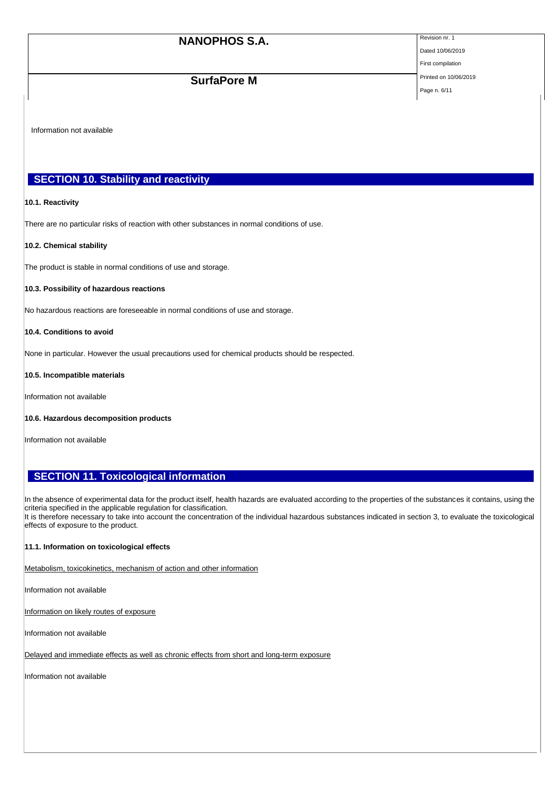Dated 10/06/2019 First compilation

# **SurfaPore M** Printed on 10/06/2019

Page n. 6/11

Information not available

## **SECTION 10. Stability and reactivity**

#### **10.1. Reactivity**

There are no particular risks of reaction with other substances in normal conditions of use.

#### **10.2. Chemical stability**

The product is stable in normal conditions of use and storage.

#### **10.3. Possibility of hazardous reactions**

No hazardous reactions are foreseeable in normal conditions of use and storage.

#### **10.4. Conditions to avoid**

None in particular. However the usual precautions used for chemical products should be respected.

#### **10.5. Incompatible materials**

Information not available

#### **10.6. Hazardous decomposition products**

Information not available

## **SECTION 11. Toxicological information**

In the absence of experimental data for the product itself, health hazards are evaluated according to the properties of the substances it contains, using the criteria specified in the applicable regulation for classification. It is therefore necessary to take into account the concentration of the individual hazardous substances indicated in section 3, to evaluate the toxicological effects of exposure to the product.

### **11.1. Information on toxicological effects**

Metabolism, toxicokinetics, mechanism of action and other information

Information not available

Information on likely routes of exposure

Information not available

Delayed and immediate effects as well as chronic effects from short and long-term exposure

Information not available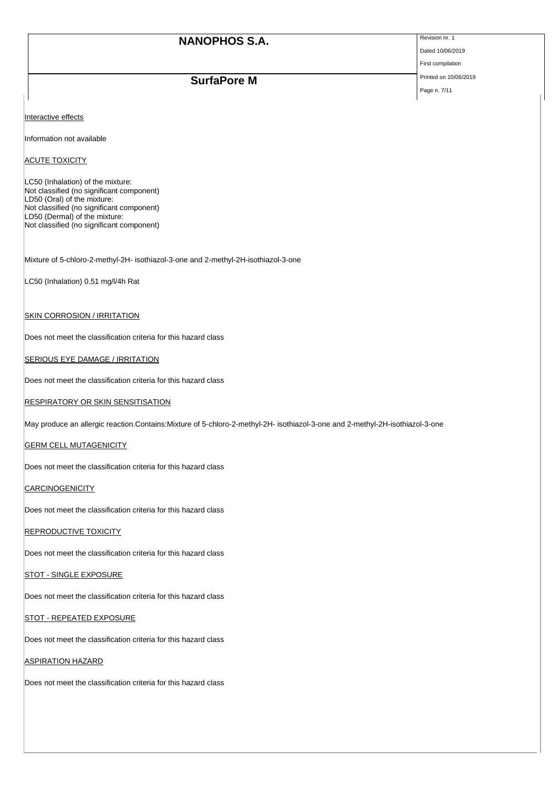Dated 10/06/2019 First compilation

Page n. 7/11

**SurfaPore M** Printed on 10/06/2019

Interactive effects

Information not available

ACUTE TOXICITY

LC50 (Inhalation) of the mixture: Not classified (no significant component) LD50 (Oral) of the mixture: Not classified (no significant component) LD50 (Dermal) of the mixture: Not classified (no significant component)

Mixture of 5-chloro-2-methyl-2H- isothiazol-3-one and 2-methyl-2H-isothiazol-3-one

LC50 (Inhalation) 0,51 mg/l/4h Rat

#### **SKIN CORROSION / IRRITATION**

Does not meet the classification criteria for this hazard class

**SERIOUS EYE DAMAGE / IRRITATION** 

Does not meet the classification criteria for this hazard class

**RESPIRATORY OR SKIN SENSITISATION** 

May produce an allergic reaction.Contains:Mixture of 5-chloro-2-methyl-2H- isothiazol-3-one and 2-methyl-2H-isothiazol-3-one

**GERM CELL MUTAGENICITY** 

Does not meet the classification criteria for this hazard class

**CARCINOGENICITY** 

Does not meet the classification criteria for this hazard class

#### REPRODUCTIVE TOXICITY

Does not meet the classification criteria for this hazard class

#### **STOT - SINGLE EXPOSURE**

Does not meet the classification criteria for this hazard class

STOT - REPEATED EXPOSURE

Does not meet the classification criteria for this hazard class

### **ASPIRATION HAZARD**

Does not meet the classification criteria for this hazard class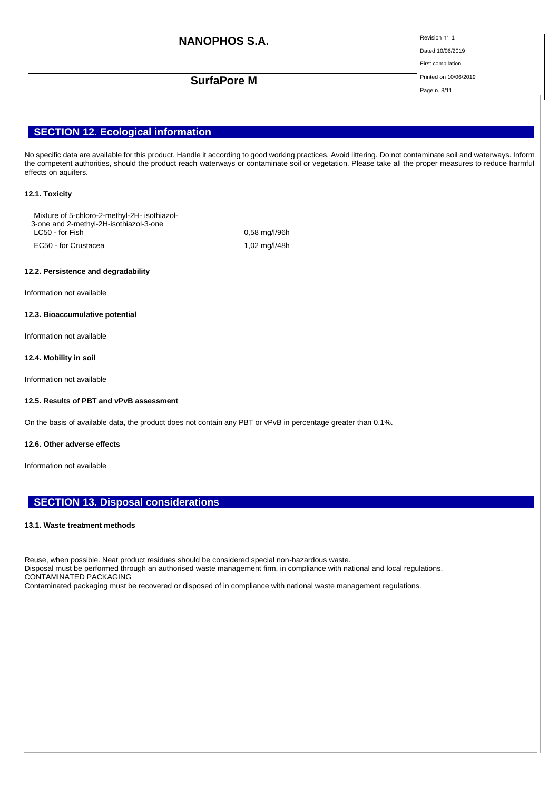Dated 10/06/2019 First compilation

**SurfaPore M** Printed on 10/06/2019

Page n. 8/11

## **SECTION 12. Ecological information**

No specific data are available for this product. Handle it according to good working practices. Avoid littering. Do not contaminate soil and waterways. Inform the competent authorities, should the product reach waterways or contaminate soil or vegetation. Please take all the proper measures to reduce harmful effects on aquifers.

#### **12.1. Toxicity**

Mixture of 5-chloro-2-methyl-2H- isothiazol-3-one and 2-methyl-2H-isothiazol-3-one LC50 - for Fish 2008 and 2008 and 2009 and 2009 and 2009 and 2009 and 2009 and 2009 and 2009 and 2009 and 200 EC50 - for Crustacea 1,02 mg/l/48h

#### **12.2. Persistence and degradability**

Information not available

#### **12.3. Bioaccumulative potential**

Information not available

### **12.4. Mobility in soil**

Information not available

### **12.5. Results of PBT and vPvB assessment**

On the basis of available data, the product does not contain any PBT or vPvB in percentage greater than 0,1%.

#### **12.6. Other adverse effects**

Information not available

## **SECTION 13. Disposal considerations**

#### **13.1. Waste treatment methods**

Reuse, when possible. Neat product residues should be considered special non-hazardous waste. Disposal must be performed through an authorised waste management firm, in compliance with national and local regulations. CONTAMINATED PACKAGING

Contaminated packaging must be recovered or disposed of in compliance with national waste management regulations.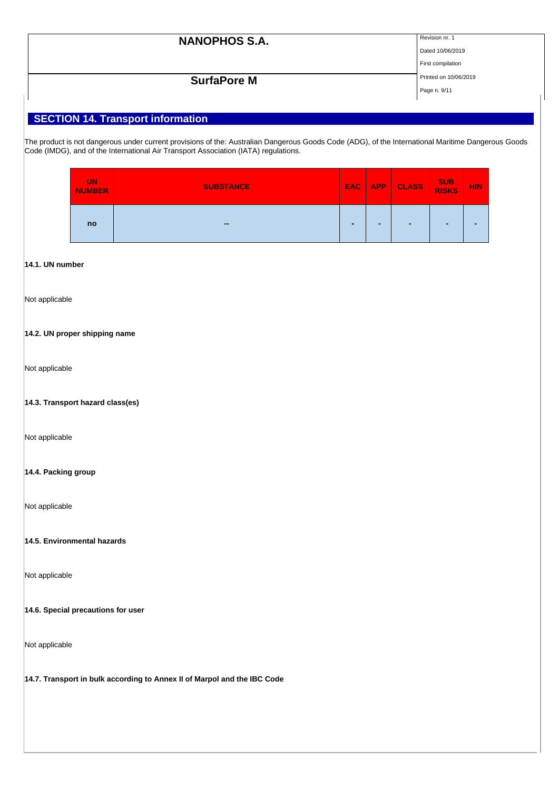| <b>NANOPHOS S.A.</b> | Revision nr. 1    |
|----------------------|-------------------|
|                      | Dated 10/06/2019  |
|                      | First compilation |

# **SurfaPore M** Printed on 10/06/2019

Page n. 9/11

# **SECTION 14. Transport information**

The product is not dangerous under current provisions of the: Australian Dangerous Goods Code (ADG), of the International Maritime Dangerous Goods Code (IMDG), and of the International Air Transport Association (IATA) regulations.

| <b>UN</b><br><b>NUMBER</b> | <b>SUBSTANCE</b> | EAC: | <b>APP</b> | <b>CLASS</b> | SUB<br>RISKS   | <b>HIN.</b> |
|----------------------------|------------------|------|------------|--------------|----------------|-------------|
| no                         | $\sim$           | -    | -          | -            | $\blacksquare$ |             |

### **14.1. UN number**

Not applicable

### **14.2. UN proper shipping name**

Not applicable

### **14.3. Transport hazard class(es)**

Not applicable

### **14.4. Packing group**

Not applicable

**14.5. Environmental hazards**

Not applicable

#### **14.6. Special precautions for user**

Not applicable

**14.7. Transport in bulk according to Annex II of Marpol and the IBC Code**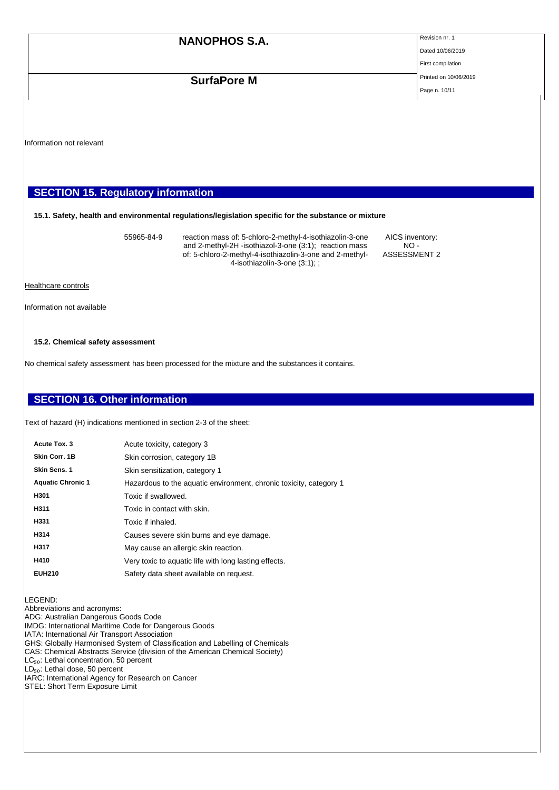Dated 10/06/2019 First compilation

# **SurfaPore M** Printed on 10/06/2019

Page n. 10/11

Information not relevant

## **SECTION 15. Regulatory information**

#### **15.1. Safety, health and environmental regulations/legislation specific for the substance or mixture**

55965-84-9 reaction mass of: 5-chloro-2-methyl-4-isothiazolin-3-one and 2-methyl-2H -isothiazol-3-one (3:1); reaction mass of: 5-chloro-2-methyl-4-isothiazolin-3-one and 2-methyl-4-isothiazolin-3-one (3:1); ;

AICS inventory:  $NO -$ ASSESSMENT 2

Healthcare controls

Information not available

#### **15.2. Chemical safety assessment**

No chemical safety assessment has been processed for the mixture and the substances it contains.

## **SECTION 16. Other information**

Text of hazard (H) indications mentioned in section 2-3 of the sheet:

| Acute Tox. 3             | Acute toxicity, category 3                                         |
|--------------------------|--------------------------------------------------------------------|
| Skin Corr. 1B            | Skin corrosion, category 1B                                        |
| <b>Skin Sens. 1</b>      | Skin sensitization, category 1                                     |
| <b>Aquatic Chronic 1</b> | Hazardous to the aquatic environment, chronic toxicity, category 1 |
| H301                     | Toxic if swallowed.                                                |
| H311                     | Toxic in contact with skin.                                        |
| H331                     | Toxic if inhaled.                                                  |
| H314                     | Causes severe skin burns and eye damage.                           |
| H317                     | May cause an allergic skin reaction.                               |
| H410                     | Very toxic to aquatic life with long lasting effects.              |
| <b>EUH210</b>            | Safety data sheet available on request.                            |
|                          |                                                                    |

LEGEND:

Abbreviations and acronyms:

ADG: Australian Dangerous Goods Code

IMDG: International Maritime Code for Dangerous Goods

IATA: International Air Transport Association

GHS: Globally Harmonised System of Classification and Labelling of Chemicals CAS: Chemical Abstracts Service (division of the American Chemical Society)

 $|LC_{50}|$ : Lethal concentration, 50 percent

LD<sub>50</sub>: Lethal dose, 50 percent

IARC: International Agency for Research on Cancer

STEL: Short Term Exposure Limit